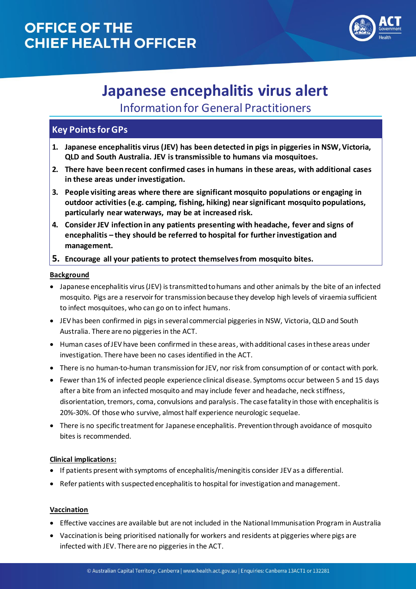## **OFFICE OF THE CHIEF HEALTH OFFICER**



# **Japanese encephalitis virus alert**

Information for General Practitioners

### **Key Pointsfor GPs**

- **1. Japanese encephalitis virus (JEV) has been detected in pigs in piggeries in NSW, Victoria, QLD and South Australia. JEV is transmissible to humans via mosquitoes.**
- **2. There have been recent confirmed cases in humans in these areas, with additional cases in these areas under investigation.**
- **3. People visiting areas where there are significant mosquito populations or engaging in outdoor activities (e.g. camping, fishing, hiking) near significant mosquito populations, particularly near waterways, may be at increased risk.**
- **4. Consider JEV infection in any patients presenting with headache, fever and signs of encephalitis – they should be referred to hospital for further investigation and management.**
- **5. Encourage all your patients to protect themselves from mosquito bites.**

#### **Background**

- Japanese encephalitis virus (JEV) is transmitted to humans and other animals by the bite of an infected mosquito. Pigs are a reservoir for transmission because they develop high levels of viraemia sufficient to infect mosquitoes, who can go on to infect humans.
- JEV has been confirmed in pigs in several commercial piggeries in NSW, Victoria, QLD and South Australia. There are no piggeries in the ACT.
- Human cases of JEV have been confirmed in these areas, with additional cases in these areas under investigation. There have been no cases identified in the ACT.
- There is no human-to-human transmission for JEV, nor risk from consumption of or contact with pork.
- Fewer than 1% of infected people experience clinical disease. Symptoms occur between 5 and 15 days after a bite from an infected mosquito and may include fever and headache, neck stiffness, disorientation, tremors, coma, convulsions and paralysis. The case fatality in those with encephalitis is 20%-30%. Of those who survive, almost half experience neurologic sequelae.
- There is no specific treatment for Japanese encephalitis. Prevention through avoidance of mosquito bitesis recommended.

#### **Clinical implications:**

- If patients present with symptoms of encephalitis/meningitis consider JEV as a differential.
- Refer patients with suspected encephalitis to hospital for investigation and management.

#### **Vaccination**

- Effective vaccines are available but are not included in the National Immunisation Program in Australia
- Vaccination is being prioritised nationally for workers and residents at piggeries where pigs are infected with JEV. There are no piggeries in the ACT.